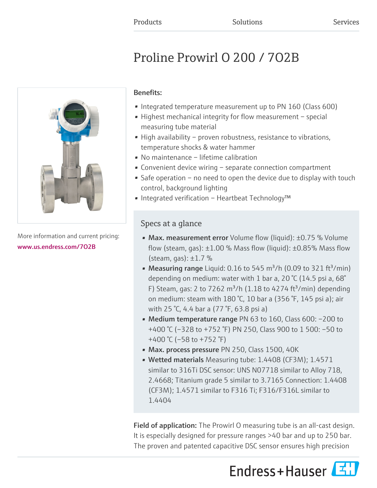# Proline Prowirl O 200 / 7O2B



More information and current pricing: [www.us.endress.com/7O2B](https://www.us.endress.com/7O2B)

### Benefits:

- Integrated temperature measurement up to PN 160 (Class 600)
- Highest mechanical integrity for flow measurement special measuring tube material
- High availability proven robustness, resistance to vibrations, temperature shocks & water hammer
- No maintenance lifetime calibration
- Convenient device wiring separate connection compartment
- Safe operation no need to open the device due to display with touch control, background lighting
- Integrated verification Heartbeat Technology™

### Specs at a glance

- Max. measurement error Volume flow (liquid): ±0.75 % Volume flow (steam, gas):  $\pm 1.00$  % Mass flow (liquid):  $\pm 0.85$ % Mass flow (steam, gas):  $\pm 1.7$  %
- Measuring range Liquid: 0.16 to 545  $\text{m}^3/\text{h}$  (0.09 to 321 ft<sup>3</sup>/min) depending on medium: water with 1 bar a, 20 °C (14.5 psi a, 68° F) Steam, gas: 2 to 7262 m<sup>3</sup>/h (1.18 to 4274 ft<sup>3</sup>/min) depending on medium: steam with 180 °C, 10 bar a (356 °F, 145 psi a); air with 25 °C, 4.4 bar a (77 °F, 63.8 psi a)
- Medium temperature range PN 63 to 160, Class 600: –200 to +400 °C (–328 to +752 °F) PN 250, Class 900 to 1 500: –50 to +400 °C (–58 to +752 °F)
- Max. process pressure PN 250, Class 1500, 40K
- Wetted materials Measuring tube: 1.4408 (CF3M); 1.4571 similar to 316Ti DSC sensor: UNS N07718 similar to Alloy 718, 2.4668; Titanium grade 5 similar to 3.7165 Connection: 1.4408 (CF3M); 1.4571 similar to F316 Ti; F316/F316L similar to 1.4404

Field of application: The Prowirl O measuring tube is an all-cast design. It is especially designed for pressure ranges >40 bar and up to 250 bar. The proven and patented capacitive DSC sensor ensures high precision

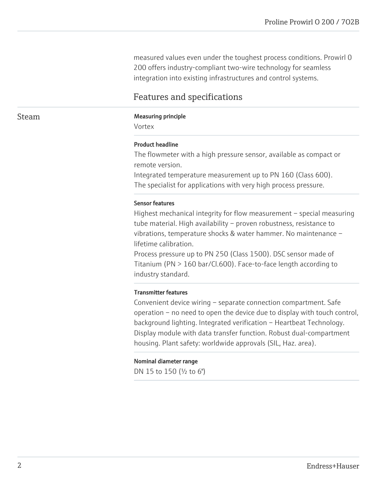measured values even under the toughest process conditions. Prowirl 0 200 offers industry-compliant two-wire technology for seamless integration into existing infrastructures and control systems.

### Features and specifications

#### Steam Measuring principle

Vortex

#### Product headline

The flowmeter with a high pressure sensor, available as compact or remote version.

Integrated temperature measurement up to PN 160 (Class 600). The specialist for applications with very high process pressure.

#### Sensor features

Highest mechanical integrity for flow measurement – special measuring tube material. High availability – proven robustness, resistance to vibrations, temperature shocks & water hammer. No maintenance – lifetime calibration.

Process pressure up to PN 250 (Class 1500). DSC sensor made of Titanium (PN > 160 bar/Cl.600). Face-to-face length according to industry standard.

#### Transmitter features

Convenient device wiring – separate connection compartment. Safe operation – no need to open the device due to display with touch control, background lighting. Integrated verification – Heartbeat Technology. Display module with data transfer function. Robust dual-compartment housing. Plant safety: worldwide approvals (SIL, Haz. area).

#### Nominal diameter range

DN 15 to 150 (½ to 6")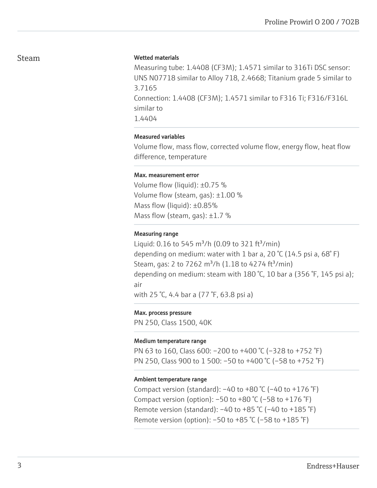### Steam

#### Wetted materials

Measuring tube: 1.4408 (CF3M); 1.4571 similar to 316Ti DSC sensor: UNS N07718 similar to Alloy 718, 2.4668; Titanium grade 5 similar to 3.7165 Connection: 1.4408 (CF3M); 1.4571 similar to F316 Ti; F316/F316L similar to 1.4404

### Measured variables

Volume flow, mass flow, corrected volume flow, energy flow, heat flow difference, temperature

#### Max. measurement error

Volume flow (liquid): ±0.75 % Volume flow (steam, gas): ±1.00 % Mass flow (liquid): ±0.85% Mass flow (steam, gas):  $\pm 1.7$  %

#### Measuring range

Liquid: 0.16 to 545 m<sup>3</sup>/h (0.09 to 321 ft<sup>3</sup>/min) depending on medium: water with 1 bar a, 20 °C (14.5 psi a, 68°F) Steam, gas: 2 to 7262 m<sup>3</sup>/h (1.18 to 4274 ft<sup>3</sup>/min) depending on medium: steam with 180 °C, 10 bar a (356 °F, 145 psi a); air with 25 °C, 4.4 bar a (77 °F, 63.8 psi a)

#### Max. process pressure

PN 250, Class 1500, 40K

#### Medium temperature range

PN 63 to 160, Class 600: –200 to +400 °C (–328 to +752 °F) PN 250, Class 900 to 1 500: –50 to +400 °C (–58 to +752 °F)

#### Ambient temperature range

Compact version (standard):  $-40$  to  $+80$  °C ( $-40$  to  $+176$  °F) Compact version (option):  $-50$  to  $+80$  °C ( $-58$  to  $+176$  °F) Remote version (standard):  $-40$  to  $+85$  °C ( $-40$  to  $+185$  °F) Remote version (option): –50 to +85 °C (–58 to +185 °F)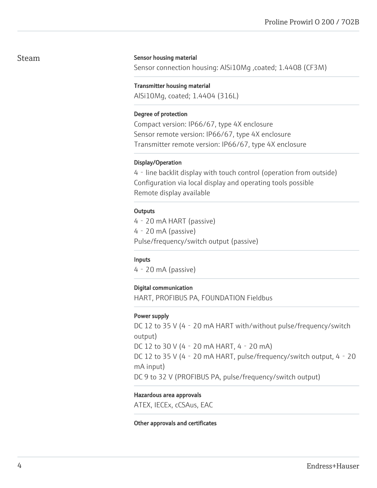### Steam

#### Sensor housing material

Sensor connection housing: AlSi10Mg ,coated; 1.4408 (CF3M)

#### Transmitter housing material

AlSi10Mg, coated; 1.4404 (316L)

#### Degree of protection

Compact version: IP66/67, type 4X enclosure Sensor remote version: IP66/67, type 4X enclosure Transmitter remote version: IP66/67, type 4X enclosure

#### Display/Operation

4‐line backlit display with touch control (operation from outside) Configuration via local display and operating tools possible Remote display available

#### **Outputs**

4‐20 mA HART (passive) 4‐20 mA (passive) Pulse/frequency/switch output (passive)

#### Inputs

4‐20 mA (passive)

#### Digital communication

HART, PROFIBUS PA, FOUNDATION Fieldbus

#### Power supply

DC 12 to 35 V (4 - 20 mA HART with/without pulse/frequency/switch output) DC 12 to 30 V (4‐20 mA HART, 4‐20 mA) DC 12 to 35 V (4 - 20 mA HART, pulse/frequency/switch output, 4 - 20 mA input) DC 9 to 32 V (PROFIBUS PA, pulse/frequency/switch output)

#### Hazardous area approvals

ATEX, IECEx, cCSAus, EAC

#### Other approvals and certificates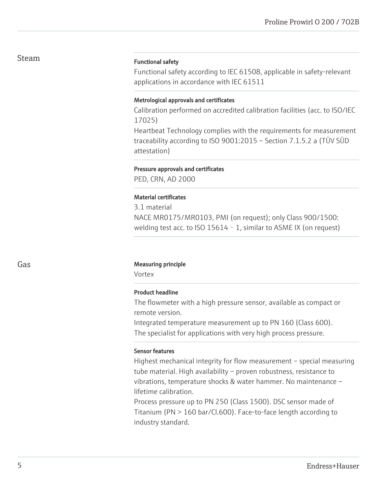### Steam

### Functional safety

Functional safety according to IEC 61508, applicable in safety-relevant applications in accordance with IEC 61511

### Metrological approvals and certificates

Calibration performed on accredited calibration facilities (acc. to ISO/IEC 17025) Heartbeat Technology complies with the requirements for measurement

traceability according to ISO 9001:2015 – Section 7.1.5.2 a (TÜV SÜD attestation)

#### Pressure approvals and certificates

PED, CRN, AD 2000

### Material certificates

3.1 material NACE MR0175/MR0103, PMI (on request); only Class 900/1500: welding test acc. to ISO 15614 - 1, similar to ASME IX (on request)

### Gas **Gas** Measuring principle

Vortex

### Product headline

The flowmeter with a high pressure sensor, available as compact or remote version.

Integrated temperature measurement up to PN 160 (Class 600). The specialist for applications with very high process pressure.

### Sensor features

Highest mechanical integrity for flow measurement – special measuring tube material. High availability – proven robustness, resistance to vibrations, temperature shocks & water hammer. No maintenance – lifetime calibration.

Process pressure up to PN 250 (Class 1500). DSC sensor made of Titanium (PN > 160 bar/Cl.600). Face-to-face length according to industry standard.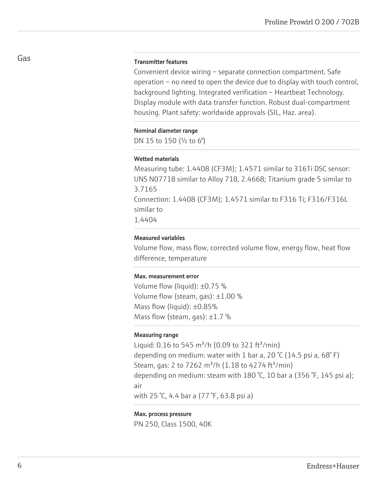#### Transmitter features

Convenient device wiring – separate connection compartment. Safe operation – no need to open the device due to display with touch control, background lighting. Integrated verification – Heartbeat Technology. Display module with data transfer function. Robust dual-compartment housing. Plant safety: worldwide approvals (SIL, Haz. area).

#### Nominal diameter range

DN 15 to 150 (½ to 6")

#### Wetted materials

Measuring tube: 1.4408 (CF3M); 1.4571 similar to 316Ti DSC sensor: UNS N07718 similar to Alloy 718, 2.4668; Titanium grade 5 similar to 3.7165 Connection: 1.4408 (CF3M); 1.4571 similar to F316 Ti; F316/F316L similar to 1.4404

### Measured variables

Volume flow, mass flow, corrected volume flow, energy flow, heat flow difference, temperature

#### Max. measurement error

Volume flow (liquid): ±0.75 % Volume flow (steam, gas): ±1.00 % Mass flow (liquid): ±0.85% Mass flow (steam, gas):  $\pm 1.7$  %

### Measuring range

Liquid:  $0.16$  to 545 m<sup>3</sup>/h (0.09 to 321 ft<sup>3</sup>/min) depending on medium: water with 1 bar a, 20  $\degree$ C (14.5 psi a, 68 $\degree$ F) Steam, gas: 2 to 7262 m<sup>3</sup>/h (1.18 to 4274 ft<sup>3</sup>/min) depending on medium: steam with 180 °C, 10 bar a (356 °F, 145 psi a); air with 25 °C, 4.4 bar a (77 °F, 63.8 psi a)

#### Max. process pressure

PN 250, Class 1500, 40K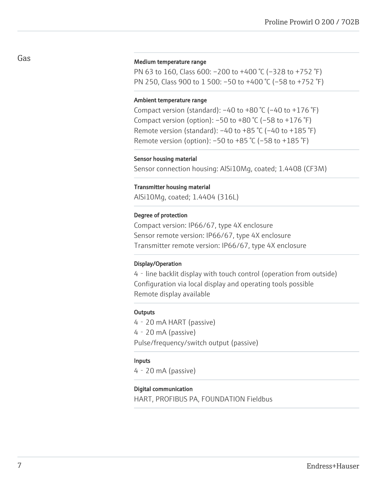#### Medium temperature range

PN 63 to 160, Class 600: –200 to +400 °C (–328 to +752 °F) PN 250, Class 900 to 1 500: –50 to +400 °C (–58 to +752 °F)

#### Ambient temperature range

Compact version (standard):  $-40$  to  $+80$  °C ( $-40$  to  $+176$  °F) Compact version (option):  $-50$  to  $+80$  °C ( $-58$  to  $+176$  °F) Remote version (standard):  $-40$  to  $+85$  °C ( $-40$  to  $+185$  °F) Remote version (option): –50 to +85 °C (–58 to +185 °F)

#### Sensor housing material

Sensor connection housing: AlSi10Mg, coated; 1.4408 (CF3M)

#### Transmitter housing material

AlSi10Mg, coated; 1.4404 (316L)

#### Degree of protection

Compact version: IP66/67, type 4X enclosure Sensor remote version: IP66/67, type 4X enclosure Transmitter remote version: IP66/67, type 4X enclosure

#### Display/Operation

4‐line backlit display with touch control (operation from outside) Configuration via local display and operating tools possible Remote display available

#### **Outputs**

4‐20 mA HART (passive) 4‐20 mA (passive) Pulse/frequency/switch output (passive)

#### Inputs

4‐20 mA (passive)

#### Digital communication

HART, PROFIBUS PA, FOUNDATION Fieldbus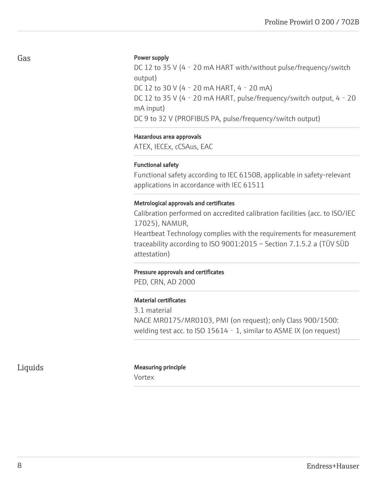#### Power supply

DC 12 to 35 V (4 - 20 mA HART with/without pulse/frequency/switch output) DC 12 to 30 V (4‐20 mA HART, 4‐20 mA) DC 12 to 35 V (4 - 20 mA HART, pulse/frequency/switch output, 4 - 20 mA input) DC 9 to 32 V (PROFIBUS PA, pulse/frequency/switch output)

#### Hazardous area approvals

ATEX, IECEx, cCSAus, EAC

### Functional safety

Functional safety according to IEC 61508, applicable in safety-relevant applications in accordance with IEC 61511

### Metrological approvals and certificates

Calibration performed on accredited calibration facilities (acc. to ISO/IEC 17025), NAMUR, Heartbeat Technology complies with the requirements for measurement traceability according to ISO 9001:2015 – Section 7.1.5.2 a (TÜV SÜD attestation)

#### Pressure approvals and certificates

PED, CRN, AD 2000

#### Material certificates

3.1 material NACE MR0175/MR0103, PMI (on request); only Class 900/1500: welding test acc. to ISO 15614 - 1, similar to ASME IX (on request)

### Liquids Measuring principle

Vortex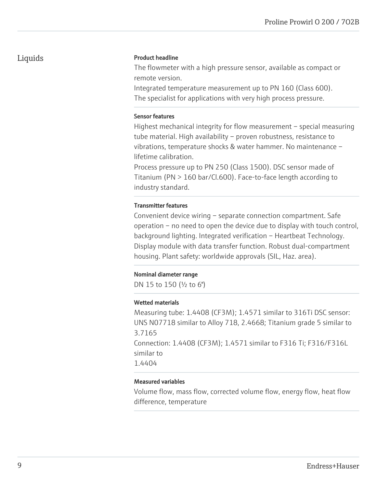### Product headline

The flowmeter with a high pressure sensor, available as compact or remote version.

Integrated temperature measurement up to PN 160 (Class 600). The specialist for applications with very high process pressure.

### Sensor features

Highest mechanical integrity for flow measurement – special measuring tube material. High availability – proven robustness, resistance to vibrations, temperature shocks & water hammer. No maintenance – lifetime calibration.

Process pressure up to PN 250 (Class 1500). DSC sensor made of Titanium (PN > 160 bar/Cl.600). Face-to-face length according to industry standard.

### Transmitter features

Convenient device wiring – separate connection compartment. Safe operation – no need to open the device due to display with touch control, background lighting. Integrated verification – Heartbeat Technology. Display module with data transfer function. Robust dual-compartment housing. Plant safety: worldwide approvals (SIL, Haz. area).

### Nominal diameter range

DN 15 to 150 (½ to 6")

### Wetted materials

Measuring tube: 1.4408 (CF3M); 1.4571 similar to 316Ti DSC sensor: UNS N07718 similar to Alloy 718, 2.4668; Titanium grade 5 similar to 3.7165 Connection: 1.4408 (CF3M); 1.4571 similar to F316 Ti; F316/F316L similar to 1.4404

### Measured variables

Volume flow, mass flow, corrected volume flow, energy flow, heat flow difference, temperature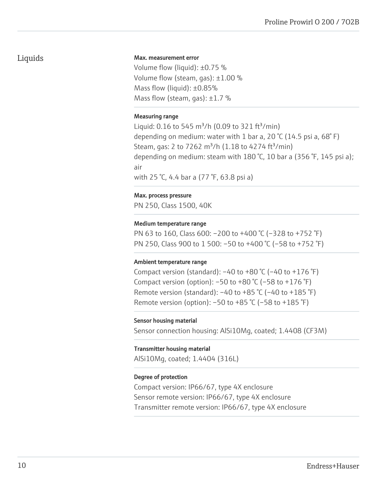#### Max. measurement error

Volume flow (liquid): ±0.75 % Volume flow (steam, gas): ±1.00 % Mass flow (liquid): ±0.85% Mass flow (steam, gas):  $\pm 1.7$  %

#### Measuring range

Liquid: 0.16 to 545 m<sup>3</sup>/h (0.09 to 321 ft<sup>3</sup>/min) depending on medium: water with 1 bar a, 20 °C (14.5 psi a, 68° F) Steam, gas: 2 to 7262 m<sup>3</sup>/h (1.18 to 4274 ft<sup>3</sup>/min) depending on medium: steam with 180 °C, 10 bar a (356 °F, 145 psi a); air with 25 °C, 4.4 bar a (77 °F, 63.8 psi a)

#### Max. process pressure

PN 250, Class 1500, 40K

### Medium temperature range

PN 63 to 160, Class 600: –200 to +400 °C (–328 to +752 °F) PN 250, Class 900 to 1 500: –50 to +400 °C (–58 to +752 °F)

#### Ambient temperature range

Compact version (standard):  $-40$  to  $+80$  °C ( $-40$  to  $+176$  °F) Compact version (option):  $-50$  to  $+80$  °C ( $-58$  to  $+176$  °F) Remote version (standard):  $-40$  to  $+85$  °C ( $-40$  to  $+185$  °F) Remote version (option): –50 to +85 °C (–58 to +185 °F)

#### Sensor housing material

Sensor connection housing: AlSi10Mg, coated; 1.4408 (CF3M)

#### Transmitter housing material

AlSi10Mg, coated; 1.4404 (316L)

#### Degree of protection

Compact version: IP66/67, type 4X enclosure Sensor remote version: IP66/67, type 4X enclosure Transmitter remote version: IP66/67, type 4X enclosure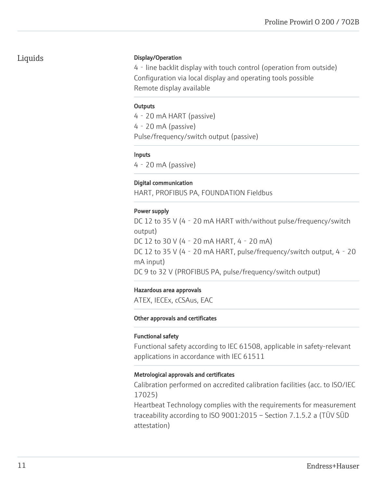### Display/Operation

4‐line backlit display with touch control (operation from outside) Configuration via local display and operating tools possible Remote display available

### **Outputs**

4‐20 mA HART (passive) 4‐20 mA (passive) Pulse/frequency/switch output (passive)

### Inputs

4‐20 mA (passive)

### Digital communication

HART, PROFIBUS PA, FOUNDATION Fieldbus

### Power supply

DC 12 to 35 V (4 - 20 mA HART with/without pulse/frequency/switch output) DC 12 to 30 V (4‐20 mA HART, 4‐20 mA) DC 12 to 35 V (4 - 20 mA HART, pulse/frequency/switch output, 4 - 20 mA input) DC 9 to 32 V (PROFIBUS PA, pulse/frequency/switch output)

### Hazardous area approvals

ATEX, IECEx, cCSAus, EAC

### Other approvals and certificates

### Functional safety

Functional safety according to IEC 61508, applicable in safety-relevant applications in accordance with IEC 61511

### Metrological approvals and certificates

Calibration performed on accredited calibration facilities (acc. to ISO/IEC 17025)

Heartbeat Technology complies with the requirements for measurement traceability according to ISO 9001:2015 – Section 7.1.5.2 a (TÜV SÜD attestation)